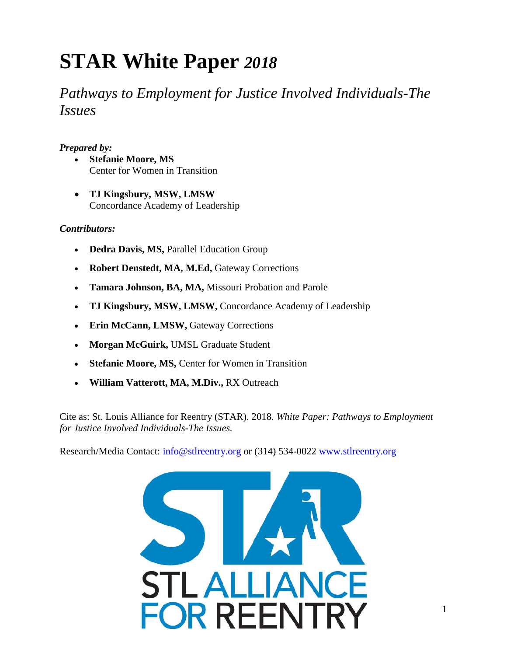# **STAR White Paper** *2018*

*Pathways to Employment for Justice Involved Individuals-The Issues*

## *Prepared by:*

- **Stefanie Moore, MS** Center for Women in Transition
- **TJ Kingsbury, MSW, LMSW** Concordance Academy of Leadership

## *Contributors:*

- **Dedra Davis, MS,** Parallel Education Group
- **Robert Denstedt, MA, M.Ed,** Gateway Corrections
- **Tamara Johnson, BA, MA,** Missouri Probation and Parole
- **TJ Kingsbury, MSW, LMSW,** Concordance Academy of Leadership
- **Erin McCann, LMSW,** Gateway Corrections
- **Morgan McGuirk,** UMSL Graduate Student
- **Stefanie Moore, MS, Center for Women in Transition**
- **William Vatterott, MA, M.Div.,** RX Outreach

Cite as: St. Louis Alliance for Reentry (STAR). 2018. *White Paper: Pathways to Employment for Justice Involved Individuals-The Issues.*

Research/Media Contact: info@stlreentry.org or (314) 534-0022 www.stlreentry.org

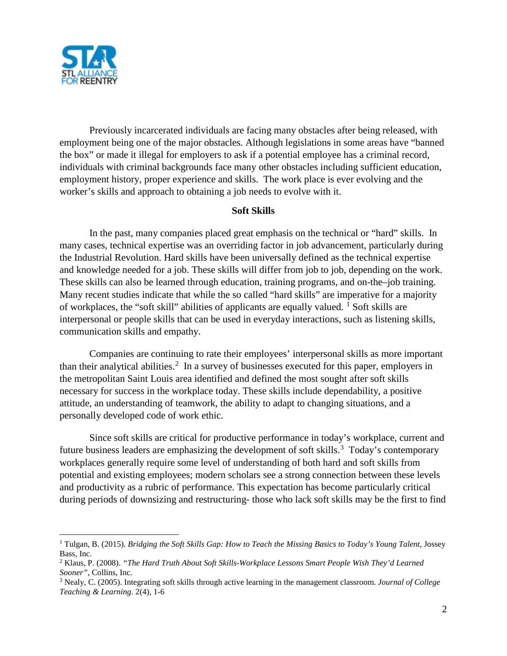

Previously incarcerated individuals are facing many obstacles after being released, with employment being one of the major obstacles. Although legislations in some areas have "banned the box" or made it illegal for employers to ask if a potential employee has a criminal record, individuals with criminal backgrounds face many other obstacles including sufficient education, employment history, proper experience and skills. The work place is ever evolving and the worker's skills and approach to obtaining a job needs to evolve with it.

#### **Soft Skills**

In the past, many companies placed great emphasis on the technical or "hard" skills. In many cases, technical expertise was an overriding factor in job advancement, particularly during the Industrial Revolution. Hard skills have been universally defined as the technical expertise and knowledge needed for a job. These skills will differ from job to job, depending on the work. These skills can also be learned through education, training programs, and on-the–job training. Many recent studies indicate that while the so called "hard skills" are imperative for a majority of workplaces, the "soft skill" abilities of applicants are equally valued.  $\frac{1}{1}$  $\frac{1}{1}$  $\frac{1}{1}$  Soft skills are interpersonal or people skills that can be used in everyday interactions, such as listening skills, communication skills and empathy.

Companies are continuing to rate their employees' interpersonal skills as more important than their analytical abilities. [2](#page-1-1) In a survey of businesses executed for this paper, employers in the metropolitan Saint Louis area identified and defined the most sought after soft skills necessary for success in the workplace today. These skills include dependability, a positive attitude, an understanding of teamwork, the ability to adapt to changing situations, and a personally developed code of work ethic.

Since soft skills are critical for productive performance in today's workplace, current and future business leaders are emphasizing the development of soft skills.<sup>[3](#page-1-2)</sup> Today's contemporary workplaces generally require some level of understanding of both hard and soft skills from potential and existing employees; modern scholars see a strong connection between these levels and productivity as a rubric of performance. This expectation has become particularly critical during periods of downsizing and restructuring- those who lack soft skills may be the first to find

<span id="page-1-0"></span> <sup>1</sup> Tulgan, B. (2015). *Bridging the Soft Skills Gap: How to Teach the Missing Basics to Today's Young Talent*, Jossey Bass, Inc.

<span id="page-1-1"></span><sup>2</sup> Klaus, P. (2008). *"The Hard Truth About Soft Skills-Workplace Lessons Smart People Wish They'd Learned Sooner",* Collins, Inc.

<span id="page-1-2"></span><sup>3</sup> Nealy, C. (2005). Integrating soft skills through active learning in the management classroom. *Journal of College Teaching & Learning*. 2(4), 1-6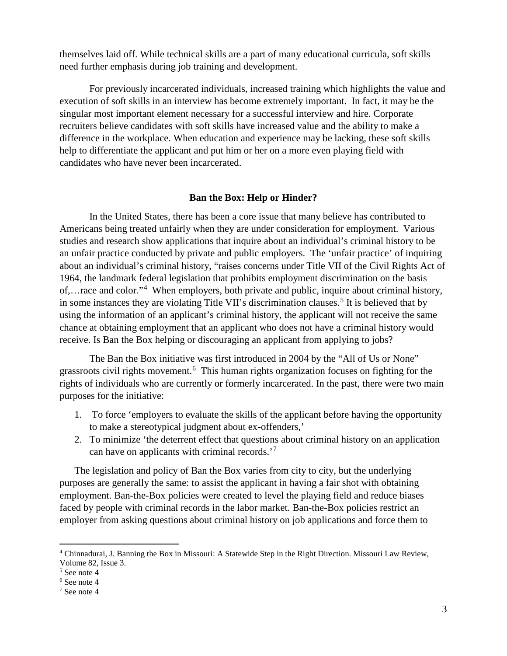themselves laid off. While technical skills are a part of many educational curricula, soft skills need further emphasis during job training and development.

For previously incarcerated individuals, increased training which highlights the value and execution of soft skills in an interview has become extremely important. In fact, it may be the singular most important element necessary for a successful interview and hire. Corporate recruiters believe candidates with soft skills have increased value and the ability to make a difference in the workplace. When education and experience may be lacking, these soft skills help to differentiate the applicant and put him or her on a more even playing field with candidates who have never been incarcerated.

#### **Ban the Box: Help or Hinder?**

In the United States, there has been a core issue that many believe has contributed to Americans being treated unfairly when they are under consideration for employment. Various studies and research show applications that inquire about an individual's criminal history to be an unfair practice conducted by private and public employers. The 'unfair practice' of inquiring about an individual's criminal history, "raises concerns under Title VII of the Civil Rights Act of 1964, the landmark federal legislation that prohibits employment discrimination on the basis of,…race and color."[4](#page-2-0) When employers, both private and public, inquire about criminal history, in some instances they are violating Title VII's discrimination clauses.<sup>[5](#page-2-1)</sup> It is believed that by using the information of an applicant's criminal history, the applicant will not receive the same chance at obtaining employment that an applicant who does not have a criminal history would receive. Is Ban the Box helping or discouraging an applicant from applying to jobs?

The Ban the Box initiative was first introduced in 2004 by the "All of Us or None" grassroots civil rights movement.<sup>[6](#page-2-2)</sup> This human rights organization focuses on fighting for the rights of individuals who are currently or formerly incarcerated. In the past, there were two main purposes for the initiative:

- 1. To force 'employers to evaluate the skills of the applicant before having the opportunity to make a stereotypical judgment about ex-offenders,'
- 2. To minimize 'the deterrent effect that questions about criminal history on an application can have on applicants with criminal records.'[7](#page-2-3)

The legislation and policy of Ban the Box varies from city to city, but the underlying purposes are generally the same: to assist the applicant in having a fair shot with obtaining employment. Ban-the-Box policies were created to level the playing field and reduce biases faced by people with criminal records in the labor market. Ban-the-Box policies restrict an employer from asking questions about criminal history on job applications and force them to

<span id="page-2-0"></span> <sup>4</sup> Chinnadurai, J. Banning the Box in Missouri: A Statewide Step in the Right Direction. Missouri Law Review, Volume 82, Issue 3.

<span id="page-2-1"></span><sup>5</sup> See note 4

<span id="page-2-2"></span><sup>6</sup> See note 4

<span id="page-2-3"></span><sup>7</sup> See note 4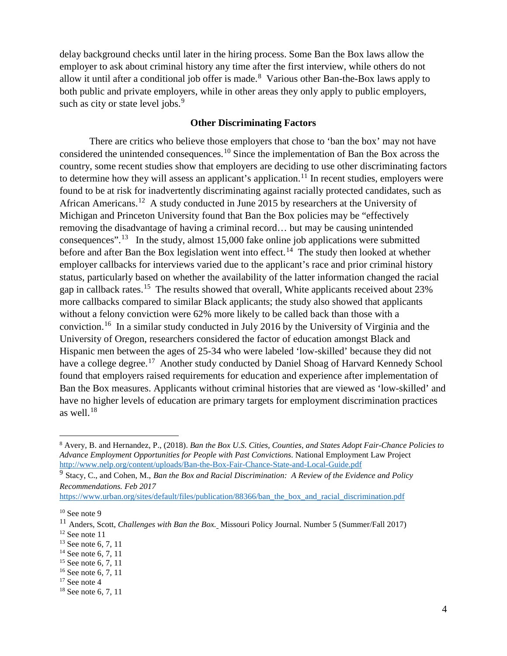delay background checks until later in the hiring process. Some Ban the Box laws allow the employer to ask about criminal history any time after the first interview, while others do not allow it until after a conditional job offer is made.<sup>[8](#page-3-0)</sup> Various other Ban-the-Box laws apply to both public and private employers, while in other areas they only apply to public employers, such as city or state level jobs.<sup>[9](#page-3-1)</sup>

### **Other Discriminating Factors**

There are critics who believe those employers that chose to 'ban the box' may not have considered the unintended consequences.<sup>[10](#page-3-2)</sup> Since the implementation of Ban the Box across the country, some recent studies show that employers are deciding to use other discriminating factors to determine how they will assess an applicant's application.<sup>[11](#page-3-3)</sup> In recent studies, employers were found to be at risk for inadvertently discriminating against racially protected candidates, such as African Americans.<sup>[12](#page-3-4)</sup> A study conducted in June 2015 by researchers at the University of Michigan and Princeton University found that Ban the Box policies may be "effectively removing the disadvantage of having a criminal record… but may be causing unintended consequences".<sup>[13](#page-3-5)</sup> In the study, almost 15,000 fake online job applications were submitted before and after Ban the Box legislation went into effect.<sup>14</sup> The study then looked at whether employer callbacks for interviews varied due to the applicant's race and prior criminal history status, particularly based on whether the availability of the latter information changed the racial gap in callback rates.[15](#page-3-7) The results showed that overall, White applicants received about 23% more callbacks compared to similar Black applicants; the study also showed that applicants without a felony conviction were 62% more likely to be called back than those with a conviction.[16](#page-3-8) In a similar study conducted in July 2016 by the University of Virginia and the University of Oregon, researchers considered the factor of education amongst Black and Hispanic men between the ages of 25-34 who were labeled 'low-skilled' because they did not have a college degree.<sup>[17](#page-3-9)</sup> Another study conducted by Daniel Shoag of Harvard Kennedy School found that employers raised requirements for education and experience after implementation of Ban the Box measures. Applicants without criminal histories that are viewed as 'low-skilled' and have no higher levels of education are primary targets for employment discrimination practices as well. $18$ 

<span id="page-3-0"></span> <sup>8</sup> Avery, B. and Hernandez, P., (2018). *Ban the Box U.S. Cities, Counties, and States Adopt Fair-Chance Policies to Advance Employment Opportunities for People with Past Convictions*. National Employment Law Project <http://www.nelp.org/content/uploads/Ban-the-Box-Fair-Chance-State-and-Local-Guide.pdf>

<span id="page-3-1"></span><sup>9</sup> Stacy, C., and Cohen, M., *Ban the Box and Racial Discrimination: A Review of the Evidence and Policy Recommendations. Feb 2017* 

[https://www.urban.org/sites/default/files/publication/88366/ban\\_the\\_box\\_and\\_racial\\_discrimination.pdf](https://www.urban.org/sites/default/files/publication/88366/ban_the_box_and_racial_discrimination.pdf)

<span id="page-3-2"></span> $10$  See note 9

<span id="page-3-3"></span><sup>11</sup> Anders, Scott, *Challenges with Ban the Box.* Missouri Policy Journal. Number 5 (Summer/Fall 2017)  $12$  See note 11

<span id="page-3-5"></span><span id="page-3-4"></span><sup>&</sup>lt;sup>13</sup> See note 6, 7, 11

<span id="page-3-6"></span><sup>&</sup>lt;sup>14</sup> See note 6, 7, 11

<span id="page-3-7"></span><sup>&</sup>lt;sup>15</sup> See note 6, 7, 11

<span id="page-3-8"></span><sup>16</sup> See note 6, 7, 11

<span id="page-3-9"></span> $17$  See note 4

<span id="page-3-10"></span><sup>&</sup>lt;sup>18</sup> See note 6, 7, 11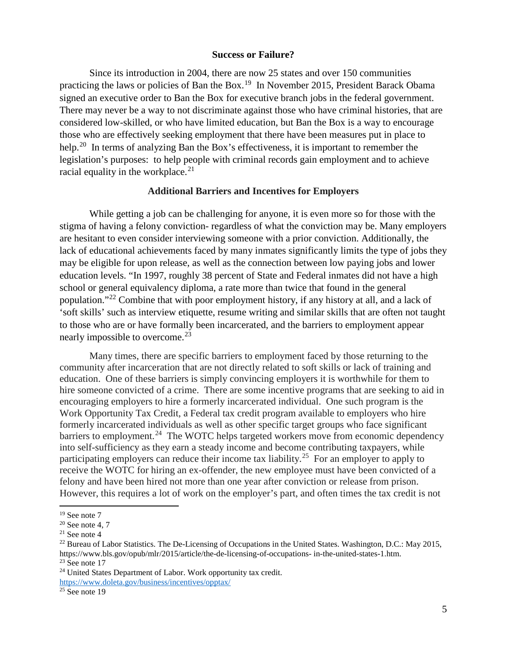#### **Success or Failure?**

Since its introduction in 2004, there are now 25 states and over 150 communities practicing the laws or policies of Ban the Box.<sup>19</sup> In November 2015, President Barack Obama signed an executive order to Ban the Box for executive branch jobs in the federal government. There may never be a way to not discriminate against those who have criminal histories, that are considered low-skilled, or who have limited education, but Ban the Box is a way to encourage those who are effectively seeking employment that there have been measures put in place to help.<sup>[20](#page-4-1)</sup> In terms of analyzing Ban the Box's effectiveness, it is important to remember the legislation's purposes: to help people with criminal records gain employment and to achieve racial equality in the workplace.<sup>[21](#page-4-2)</sup>

#### **Additional Barriers and Incentives for Employers**

While getting a job can be challenging for anyone, it is even more so for those with the stigma of having a felony conviction- regardless of what the conviction may be. Many employers are hesitant to even consider interviewing someone with a prior conviction. Additionally, the lack of educational achievements faced by many inmates significantly limits the type of jobs they may be eligible for upon release, as well as the connection between low paying jobs and lower education levels. "In 1997, roughly 38 percent of State and Federal inmates did not have a high school or general equivalency diploma, a rate more than twice that found in the general population."[22](#page-4-3) Combine that with poor employment history, if any history at all, and a lack of 'soft skills' such as interview etiquette, resume writing and similar skills that are often not taught to those who are or have formally been incarcerated, and the barriers to employment appear nearly impossible to overcome.<sup>[23](#page-4-4)</sup>

Many times, there are specific barriers to employment faced by those returning to the community after incarceration that are not directly related to soft skills or lack of training and education. One of these barriers is simply convincing employers it is worthwhile for them to hire someone convicted of a crime. There are some incentive programs that are seeking to aid in encouraging employers to hire a formerly incarcerated individual. One such program is the Work Opportunity Tax Credit, a Federal tax credit program available to employers who hire formerly incarcerated individuals as well as other specific target groups who face significant  $barrier$  to employment.<sup>[24](#page-4-5)</sup> The WOTC helps targeted workers move from economic dependency into self-sufficiency as they earn a steady income and become contributing taxpayers, while participating employers can reduce their income tax liability.<sup>[25](#page-4-6)</sup> For an employer to apply to receive the WOTC for hiring an ex-offender, the new employee must have been convicted of a felony and have been hired not more than one year after conviction or release from prison. However, this requires a lot of work on the employer's part, and often times the tax credit is not

<sup>&</sup>lt;sup>19</sup> See note 7

<span id="page-4-1"></span><span id="page-4-0"></span> $20$  See note 4, 7

<span id="page-4-2"></span> $21$  See note 4

<span id="page-4-3"></span><sup>&</sup>lt;sup>22</sup> Bureau of Labor Statistics. The De-Licensing of Occupations in the United States. Washington, D.C.: May 2015, https://www.bls.gov/opub/mlr/2015/article/the-de-licensing-of-occupations- in-the-united-states-1.htm.  $23$  See note 17

<span id="page-4-5"></span><span id="page-4-4"></span><sup>24</sup> United States Department of Labor. Work opportunity tax credit. <https://www.doleta.gov/business/incentives/opptax/>

<span id="page-4-6"></span> $25$  See note 19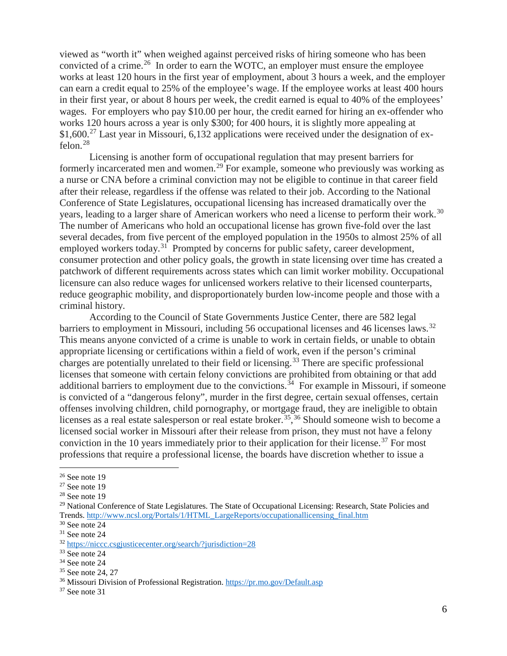viewed as "worth it" when weighed against perceived risks of hiring someone who has been convicted of a crime.<sup>26</sup> In order to earn the WOTC, an employer must ensure the employee works at least 120 hours in the first year of employment, about 3 hours a week, and the employer can earn a credit equal to 25% of the employee's wage. If the employee works at least 400 hours in their first year, or about 8 hours per week, the credit earned is equal to 40% of the employees' wages. For employers who pay \$10.00 per hour, the credit earned for hiring an ex-offender who works 120 hours across a year is only \$300; for 400 hours, it is slightly more appealing at \$1,600.<sup>[27](#page-5-1)</sup> Last year in Missouri, 6,132 applications were received under the designation of exfelon.[28](#page-5-2)

Licensing is another form of occupational regulation that may present barriers for formerly incarcerated men and women.<sup>[29](#page-5-3)</sup> For example, someone who previously was working as a nurse or CNA before a criminal conviction may not be eligible to continue in that career field after their release, regardless if the offense was related to their job. According to the National Conference of State Legislatures, occupational licensing has increased dramatically over the years, leading to a larger share of American workers who need a license to perform their work.<sup>[30](#page-5-4)</sup> The number of Americans who hold an occupational license has grown five-fold over the last several decades, from five percent of the employed population in the 1950s to almost 25% of all employed workers today.<sup>[31](#page-5-5)</sup> Prompted by concerns for public safety, career development, consumer protection and other policy goals, the growth in state licensing over time has created a patchwork of different requirements across states which can limit worker mobility. Occupational licensure can also reduce wages for unlicensed workers relative to their licensed counterparts, reduce geographic mobility, and disproportionately burden low-income people and those with a criminal history.

According to the Council of State Governments Justice Center, there are 582 legal barriers to employment in Missouri, including 56 occupational licenses and 46 licenses laws.<sup>[32](#page-5-6)</sup> This means anyone convicted of a crime is unable to work in certain fields, or unable to obtain appropriate licensing or certifications within a field of work, even if the person's criminal charges are potentially unrelated to their field or licensing. [33](#page-5-7) There are specific professional licenses that someone with certain felony convictions are prohibited from obtaining or that add additional barriers to employment due to the convictions.<sup>[34](#page-5-8)</sup> For example in Missouri, if someone is convicted of a "dangerous felony", murder in the first degree, certain sexual offenses, certain offenses involving children, child pornography, or mortgage fraud, they are ineligible to obtain licenses as a real estate salesperson or real estate broker.<sup>[35](#page-5-9)</sup>,<sup>[36](#page-5-10)</sup> Should someone wish to become a licensed social worker in Missouri after their release from prison, they must not have a felony conviction in the 10 years immediately prior to their application for their license.<sup>[37](#page-5-11)</sup> For most professions that require a professional license, the boards have discretion whether to issue a

<span id="page-5-0"></span> $26$  See note 19

<span id="page-5-1"></span><sup>27</sup> See note 19

<span id="page-5-2"></span><sup>28</sup> See note 19

<span id="page-5-3"></span><sup>&</sup>lt;sup>29</sup> National Conference of State Legislatures. The State of Occupational Licensing: Research, State Policies and Trends. [http://www.ncsl.org/Portals/1/HTML\\_LargeReports/occupationallicensing\\_final.htm](http://www.ncsl.org/Portals/1/HTML_LargeReports/occupationallicensing_final.htm)

<span id="page-5-4"></span><sup>30</sup> See note 24

<span id="page-5-5"></span> $31$  See note 24

<span id="page-5-6"></span><sup>32</sup> <https://niccc.csgjusticecenter.org/search/?jurisdiction=28>

<span id="page-5-7"></span><sup>33</sup> See note 24

<span id="page-5-8"></span><sup>34</sup> See note 24

<span id="page-5-9"></span><sup>35</sup> See note 24, 27

<span id="page-5-10"></span><sup>36</sup> Missouri Division of Professional Registration[. https://pr.mo.gov/Default.asp](https://pr.mo.gov/Default.asp)

<span id="page-5-11"></span><sup>37</sup> See note 31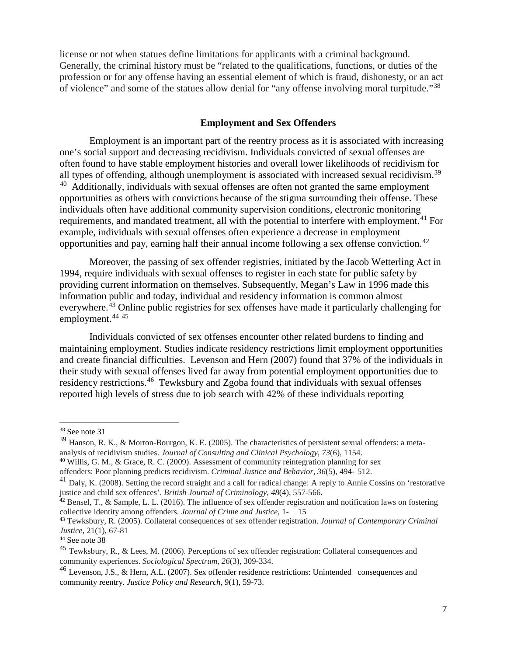license or not when statues define limitations for applicants with a criminal background. Generally, the criminal history must be "related to the qualifications, functions, or duties of the profession or for any offense having an essential element of which is fraud, dishonesty, or an act of violence" and some of the statues allow denial for "any offense involving moral turpitude."[38](#page-6-0)

#### **Employment and Sex Offenders**

Employment is an important part of the reentry process as it is associated with increasing one's social support and decreasing recidivism. Individuals convicted of sexual offenses are often found to have stable employment histories and overall lower likelihoods of recidivism for all types of offending, although unemployment is associated with increased sexual recidivism.<sup>[39](#page-6-1)</sup>  $40$  Additionally, individuals with sexual offenses are often not granted the same employment opportunities as others with convictions because of the stigma surrounding their offense. These individuals often have additional community supervision conditions, electronic monitoring requirements, and mandated treatment, all with the potential to interfere with employment.<sup>[41](#page-6-3)</sup> For example, individuals with sexual offenses often experience a decrease in employment opportunities and pay, earning half their annual income following a sex offense conviction.<sup>[42](#page-6-4)</sup>

Moreover, the passing of sex offender registries, initiated by the Jacob Wetterling Act in 1994, require individuals with sexual offenses to register in each state for public safety by providing current information on themselves. Subsequently, Megan's Law in 1996 made this information public and today, individual and residency information is common almost everywhere.<sup>[43](#page-6-5)</sup> Online public registries for sex offenses have made it particularly challenging for employment. [44](#page-6-6) [45](#page-6-7)

Individuals convicted of sex offenses encounter other related burdens to finding and maintaining employment. Studies indicate residency restrictions limit employment opportunities and create financial difficulties. Levenson and Hern (2007) found that 37% of the individuals in their study with sexual offenses lived far away from potential employment opportunities due to residency restrictions.<sup>[46](#page-6-8)</sup> Tewksbury and Zgoba found that individuals with sexual offenses reported high levels of stress due to job search with 42% of these individuals reporting

<span id="page-6-0"></span> <sup>38</sup> See note 31

<span id="page-6-1"></span><sup>39</sup> Hanson, R. K., & Morton-Bourgon, K. E. (2005). The characteristics of persistent sexual offenders: a metaanalysis of recidivism studies. *Journal of Consulting and Clinical Psychology*, *73*(6), 1154.

<span id="page-6-2"></span> $40$  Willis, G. M., & Grace, R. C. (2009). Assessment of community reintegration planning for sex

offenders: Poor planning predicts recidivism. *Criminal Justice and Behavior*, *36*(5), 494- 512.

<span id="page-6-3"></span><sup>&</sup>lt;sup>41</sup> Daly, K. (2008). Setting the record straight and a call for radical change: A reply to Annie Cossins on 'restorative justice and child sex offences'. *British Journal of Criminology*, *48*(4), 557-566.

<span id="page-6-4"></span> $42$  Bensel, T., & Sample, L. L. (2016). The influence of sex offender registration and notification laws on fostering collective identity among offenders. *Journal of Crime and Justice*, 1- 15

<span id="page-6-5"></span><sup>43</sup> Tewksbury, R. (2005). Collateral consequences of sex offender registration. *Journal of Contemporary Criminal Justice*, 21(1), 67-81

<span id="page-6-6"></span><sup>44</sup> See note 38

<span id="page-6-7"></span><sup>45</sup> Tewksbury, R., & Lees, M. (2006). Perceptions of sex offender registration: Collateral consequences and community experiences. *Sociological Spectrum*, *26*(3), 309-334.

<span id="page-6-8"></span><sup>46</sup> Levenson, J.S., & Hern, A.L. (2007). Sex offender residence restrictions: Unintended consequences and community reentry. *Justice Policy and Research*, 9(1), 59-73.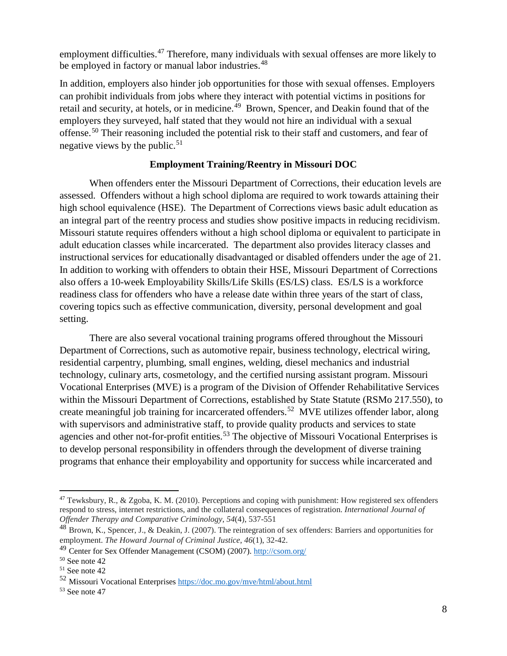employment difficulties.<sup>[47](#page-7-0)</sup> Therefore, many individuals with sexual offenses are more likely to be employed in factory or manual labor industries.<sup>[48](#page-7-1)</sup>

In addition, employers also hinder job opportunities for those with sexual offenses. Employers can prohibit individuals from jobs where they interact with potential victims in positions for retail and security, at hotels, or in medicine.<sup>[49](#page-7-2)</sup> Brown, Spencer, and Deakin found that of the employers they surveyed, half stated that they would not hire an individual with a sexual offense.[50](#page-7-3) Their reasoning included the potential risk to their staff and customers, and fear of negative views by the public. $51$ 

## **Employment Training/Reentry in Missouri DOC**

When offenders enter the Missouri Department of Corrections, their education levels are assessed. Offenders without a high school diploma are required to work towards attaining their high school equivalence (HSE). The Department of Corrections views basic adult education as an integral part of the reentry process and studies show positive impacts in reducing recidivism. Missouri statute requires offenders without a high school diploma or equivalent to participate in adult education classes while incarcerated. The department also provides literacy classes and instructional services for educationally disadvantaged or disabled offenders under the age of 21. In addition to working with offenders to obtain their HSE, Missouri Department of Corrections also offers a 10-week Employability Skills/Life Skills (ES/LS) class. ES/LS is a workforce readiness class for offenders who have a release date within three years of the start of class, covering topics such as effective communication, diversity, personal development and goal setting.

There are also several vocational training programs offered throughout the Missouri Department of Corrections, such as automotive repair, business technology, electrical wiring, residential carpentry, plumbing, small engines, welding, diesel mechanics and industrial technology, culinary arts, cosmetology, and the certified nursing assistant program. Missouri Vocational Enterprises (MVE) is a program of the Division of Offender Rehabilitative Services within the Missouri Department of Corrections, established by State Statute (RSMo 217.550), to create meaningful job training for incarcerated offenders. [52](#page-7-5) MVE utilizes offender labor, along with supervisors and administrative staff, to provide quality products and services to state agencies and other not-for-profit entities.<sup>[53](#page-7-6)</sup> The objective of Missouri Vocational Enterprises is to develop personal responsibility in offenders through the development of diverse training programs that enhance their employability and opportunity for success while incarcerated and

<span id="page-7-0"></span> <sup>47</sup> Tewksbury, R., & Zgoba, K. M. (2010). Perceptions and coping with punishment: How registered sex offenders respond to stress, internet restrictions, and the collateral consequences of registration. *International Journal of Offender Therapy and Comparative Criminology*, *54*(4), 537-551

<span id="page-7-1"></span> $^{48}$  Brown, K., Spencer, J., & Deakin, J. (2007). The reintegration of sex offenders: Barriers and opportunities for employment. *The Howard Journal of Criminal Justice*, *46*(1), 32-42.

<span id="page-7-2"></span><sup>49</sup> Center for Sex Offender Management (CSOM) (2007)[. http://csom.org/](http://csom.org/)

<span id="page-7-3"></span><sup>50</sup> See note 42

<span id="page-7-4"></span><sup>51</sup> See note 42

<span id="page-7-5"></span><sup>52</sup> Missouri Vocational Enterprises<https://doc.mo.gov/mve/html/about.html>

<span id="page-7-6"></span><sup>53</sup> See note 47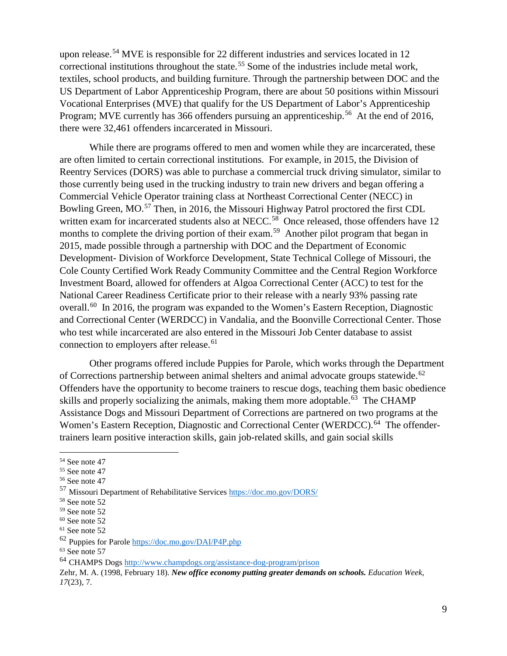upon release.<sup>[54](#page-8-0)</sup> MVE is responsible for 22 different industries and services located in 12 correctional institutions throughout the state.<sup>[55](#page-8-1)</sup> Some of the industries include metal work, textiles, school products, and building furniture. Through the partnership between DOC and the US Department of Labor Apprenticeship Program, there are about 50 positions within Missouri Vocational Enterprises (MVE) that qualify for the US Department of Labor's Apprenticeship Program; MVE currently has 366 offenders pursuing an apprenticeship.<sup>56</sup> At the end of 2016, there were 32,461 offenders incarcerated in Missouri.

While there are programs offered to men and women while they are incarcerated, these are often limited to certain correctional institutions. For example, in 2015, the Division of Reentry Services (DORS) was able to purchase a commercial truck driving simulator, similar to those currently being used in the trucking industry to train new drivers and began offering a Commercial Vehicle Operator training class at Northeast Correctional Center (NECC) in Bowling Green, MO.<sup>[57](#page-8-3)</sup> Then, in 2016, the Missouri Highway Patrol proctored the first CDL written exam for incarcerated students also at NECC.<sup>[58](#page-8-4)</sup> Once released, those offenders have 12 months to complete the driving portion of their exam.<sup>[59](#page-8-5)</sup> Another pilot program that began in 2015, made possible through a partnership with DOC and the Department of Economic Development- Division of Workforce Development, State Technical College of Missouri, the Cole County Certified Work Ready Community Committee and the Central Region Workforce Investment Board, allowed for offenders at Algoa Correctional Center (ACC) to test for the National Career Readiness Certificate prior to their release with a nearly 93% passing rate overall.<sup>[60](#page-8-6)</sup> In 2016, the program was expanded to the Women's Eastern Reception, Diagnostic and Correctional Center (WERDCC) in Vandalia, and the Boonville Correctional Center. Those who test while incarcerated are also entered in the Missouri Job Center database to assist connection to employers after release.<sup>[61](#page-8-7)</sup>

Other programs offered include Puppies for Parole, which works through the Department of Corrections partnership between animal shelters and animal advocate groups statewide.<sup>[62](#page-8-8)</sup> Offenders have the opportunity to become trainers to rescue dogs, teaching them basic obedience skills and properly socializing the animals, making them more adoptable.<sup>[63](#page-8-9)</sup> The CHAMP Assistance Dogs and Missouri Department of Corrections are partnered on two programs at the Women's Eastern Reception, Diagnostic and Correctional Center (WERDCC).<sup>[64](#page-8-10)</sup> The offendertrainers learn positive interaction skills, gain job-related skills, and gain social skills

<span id="page-8-0"></span> <sup>54</sup> See note 47

<span id="page-8-1"></span><sup>55</sup> See note 47

<span id="page-8-2"></span><sup>56</sup> See note 47

<span id="page-8-3"></span><sup>57</sup> Missouri Department of Rehabilitative Service[s https://doc.mo.gov/DORS/](https://doc.mo.gov/DORS/)

<span id="page-8-4"></span><sup>58</sup> See note 52

<span id="page-8-5"></span><sup>59</sup> See note 52

<span id="page-8-6"></span> $60$  See note 52

<span id="page-8-7"></span><sup>61</sup> See note 52

<span id="page-8-8"></span><sup>62</sup> Puppies for Parol[e https://doc.mo.gov/DAI/P4P.php](https://doc.mo.gov/DAI/P4P.php)

<span id="page-8-9"></span> $63$  See note 57

<span id="page-8-10"></span><sup>64</sup> CHAMPS Dogs<http://www.champdogs.org/assistance-dog-program/prison>

Zehr, M. A. (1998, February 18). *New office economy putting greater demands on schools. Education Week*, *17*(23), 7.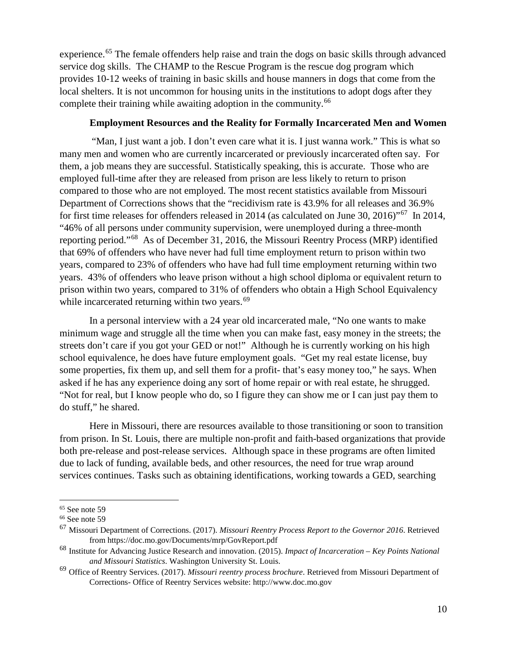experience.<sup>[65](#page-9-0)</sup> The female offenders help raise and train the dogs on basic skills through advanced service dog skills. The CHAMP to the Rescue Program is the rescue dog program which provides 10-12 weeks of training in basic skills and house manners in dogs that come from the local shelters. It is not uncommon for housing units in the institutions to adopt dogs after they complete their training while awaiting adoption in the community.<sup>[66](#page-9-1)</sup>

### **Employment Resources and the Reality for Formally Incarcerated Men and Women**

"Man, I just want a job. I don't even care what it is. I just wanna work." This is what so many men and women who are currently incarcerated or previously incarcerated often say. For them, a job means they are successful. Statistically speaking, this is accurate. Those who are employed full-time after they are released from prison are less likely to return to prison compared to those who are not employed. The most recent statistics available from Missouri Department of Corrections shows that the "recidivism rate is 43.9% for all releases and 36.9% for first time releases for offenders released in 2014 (as calculated on June 30, 2016)"[67](#page-9-2) In 2014, "46% of all persons under community supervision, were unemployed during a three-month reporting period."[68](#page-9-3) As of December 31, 2016, the Missouri Reentry Process (MRP) identified that 69% of offenders who have never had full time employment return to prison within two years, compared to 23% of offenders who have had full time employment returning within two years. 43% of offenders who leave prison without a high school diploma or equivalent return to prison within two years, compared to 31% of offenders who obtain a High School Equivalency while incarcerated returning within two years.<sup>[69](#page-9-4)</sup>

In a personal interview with a 24 year old incarcerated male, "No one wants to make minimum wage and struggle all the time when you can make fast, easy money in the streets; the streets don't care if you got your GED or not!" Although he is currently working on his high school equivalence, he does have future employment goals. "Get my real estate license, buy some properties, fix them up, and sell them for a profit- that's easy money too," he says. When asked if he has any experience doing any sort of home repair or with real estate, he shrugged. "Not for real, but I know people who do, so I figure they can show me or I can just pay them to do stuff," he shared.

Here in Missouri, there are resources available to those transitioning or soon to transition from prison. In St. Louis, there are multiple non-profit and faith-based organizations that provide both pre-release and post-release services. Although space in these programs are often limited due to lack of funding, available beds, and other resources, the need for true wrap around services continues. Tasks such as obtaining identifications, working towards a GED, searching

<span id="page-9-0"></span> <sup>65</sup> See note 59

<span id="page-9-1"></span><sup>66</sup> See note 59

<span id="page-9-2"></span><sup>67</sup> Missouri Department of Corrections. (2017). *Missouri Reentry Process Report to the Governor 2016*. Retrieved from https://doc.mo.gov/Documents/mrp/GovReport.pdf

<span id="page-9-3"></span><sup>68</sup> Institute for Advancing Justice Research and innovation. (2015). *Impact of Incarceration – Key Points National and Missouri Statistics*. Washington University St. Louis.

<span id="page-9-4"></span><sup>69</sup> Office of Reentry Services. (2017). *Missouri reentry process brochure*. Retrieved from Missouri Department of Corrections- Office of Reentry Services website: http://www.doc.mo.gov